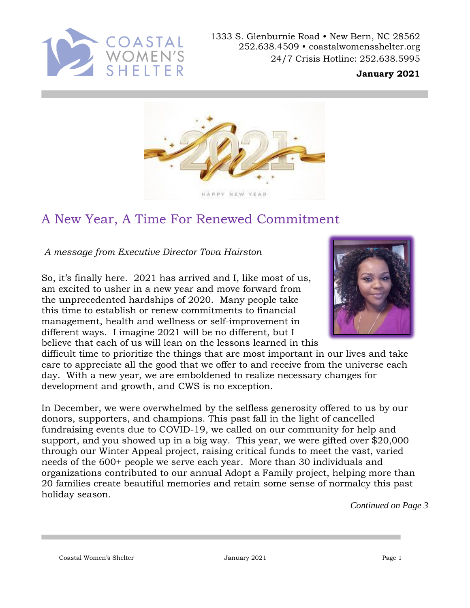

1333 S. Glenburnie Road • New Bern, NC 28562 252.638.4509 • coastalwomensshelter.org 24/7 Crisis Hotline: 252.638.5995

#### **January 2021**



## A New Year, A Time For Renewed Commitment

*A message from Executive Director Tova Hairston*

So, it's finally here. 2021 has arrived and I, like most of us, am excited to usher in a new year and move forward from the unprecedented hardships of 2020. Many people take this time to establish or renew commitments to financial management, health and wellness or self-improvement in different ways. I imagine 2021 will be no different, but I believe that each of us will lean on the lessons learned in this



difficult time to prioritize the things that are most important in our lives and take care to appreciate all the good that we offer to and receive from the universe each day. With a new year, we are emboldened to realize necessary changes for development and growth, and CWS is no exception.

In December, we were overwhelmed by the selfless generosity offered to us by our donors, supporters, and champions. This past fall in the light of cancelled fundraising events due to COVID-19, we called on our community for help and support, and you showed up in a big way. This year, we were gifted over \$20,000 through our Winter Appeal project, raising critical funds to meet the vast, varied needs of the 600+ people we serve each year. More than 30 individuals and organizations contributed to our annual Adopt a Family project, helping more than 20 families create beautiful memories and retain some sense of normalcy this past holiday season.

*Continued on Page 3*

Coastal Women's Shelter January 2021 Page 1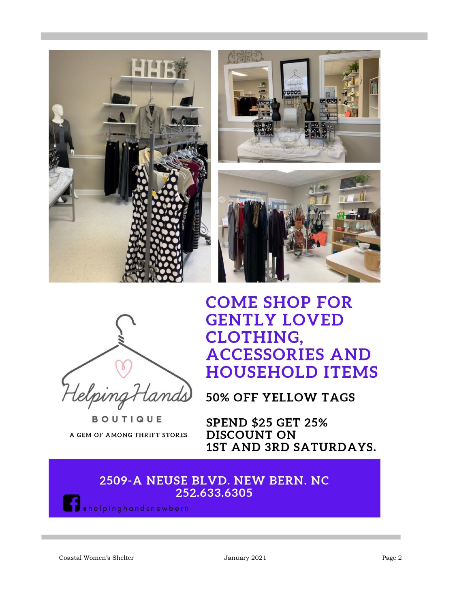



**BOUTIQUE** A GEM OF AMONG THRIFT STORES

# **COME SHOP FOR GENTLY LOVED CLOTHING, ACCESSORIES AND HOUSEHOLD ITEMS**

**50% OFF YELLOW TAGS** 

**SPEND \$25 GET 25% DISCOUNT ON** 1ST AND 3RD SATURDAYS.

### 2509-A NEUSE BLVD. NEW BERN. NC 252.633.6305

ehelpinghandsnewbern

Coastal Women's Shelter January 2021 Page 2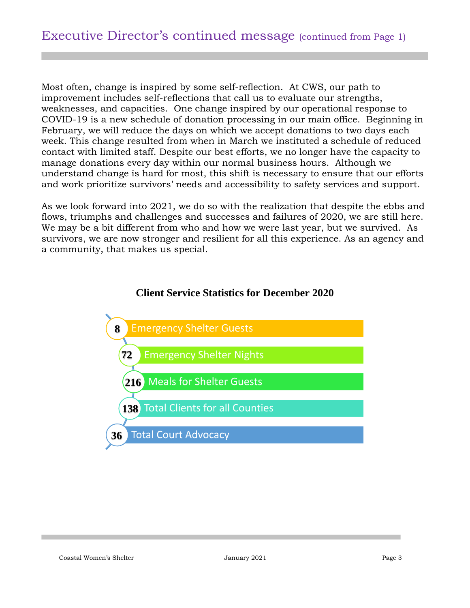Most often, change is inspired by some self-reflection. At CWS, our path to improvement includes self-reflections that call us to evaluate our strengths, weaknesses, and capacities. One change inspired by our operational response to COVID-19 is a new schedule of donation processing in our main office. Beginning in February, we will reduce the days on which we accept donations to two days each week. This change resulted from when in March we instituted a schedule of reduced contact with limited staff. Despite our best efforts, we no longer have the capacity to manage donations every day within our normal business hours. Although we understand change is hard for most, this shift is necessary to ensure that our efforts and work prioritize survivors' needs and accessibility to safety services and support.

As we look forward into 2021, we do so with the realization that despite the ebbs and flows, triumphs and challenges and successes and failures of 2020, we are still here. We may be a bit different from who and how we were last year, but we survived. As survivors, we are now stronger and resilient for all this experience. As an agency and a community, that makes us special.



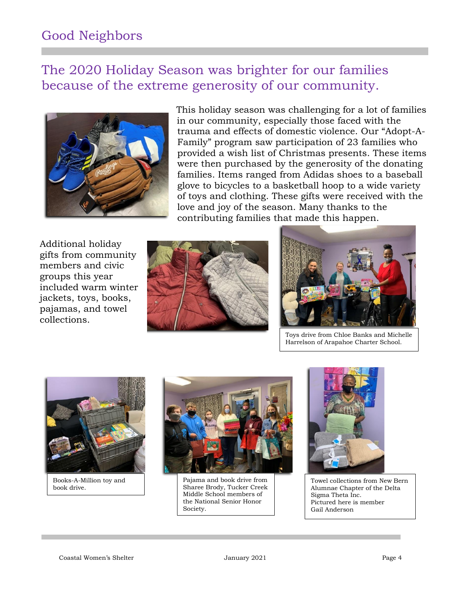## Good Neighbors

### The 2020 Holiday Season was brighter for our families because of the extreme generosity of our community.



This holiday season was challenging for a lot of families in our community, especially those faced with the trauma and effects of domestic violence. Our "Adopt-A-Family" program saw participation of 23 families who provided a wish list of Christmas presents. These items were then purchased by the generosity of the donating families. Items ranged from Adidas shoes to a baseball glove to bicycles to a basketball hoop to a wide variety of toys and clothing. These gifts were received with the love and joy of the season. Many thanks to the contributing families that made this happen.

Additional holiday gifts from community members and civic groups this year included warm winter jackets, toys, books, pajamas, and towel collections.





Toys drive from Chloe Banks and Michelle Harrelson of Arapahoe Charter School.



Books-A-Million toy and book drive.



Pajama and book drive from Sharee Brody, Tucker Creek Middle School members of the National Senior Honor Society.



Towel collections from New Bern Alumnae Chapter of the Delta Sigma Theta Inc. Pictured here is member Gail Anderson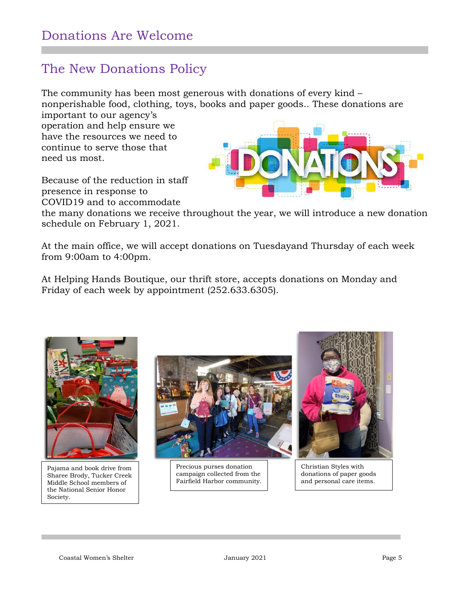### The New Donations Policy

The community has been most generous with donations of every kind – nonperishable food, clothing, toys, books and paper goods.. These donations are

important to our agency's operation and help ensure we have the resources we need to continue to serve those that need us most.

Because of the reduction in staff presence in response to COVID19 and to accommodate



the many donations we receive throughout the year, we will introduce a new donation schedule on February 1, 2021.

At the main office, we will accept donations on Tuesdayand Thursday of each week from 9:00am to 4:00pm.

At Helping Hands Boutique, our thrift store, accepts donations on Monday and Friday of each week by appointment (252.633.6305).



Pajama and book drive from Sharee Brody, Tucker Creek Middle School members of the National Senior Honor Society.



Precious purses donation campaign collected from the Fairfield Harbor community.



Christian Styles with donations of paper goods and personal care items.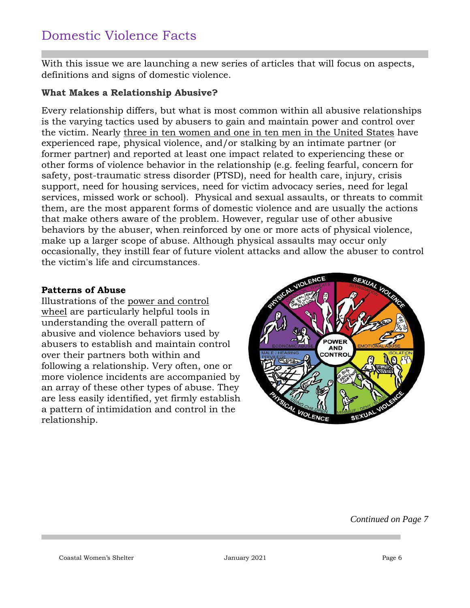### Domestic Violence Facts

With this issue we are launching a new series of articles that will focus on aspects, definitions and signs of domestic violence.

#### **What Makes a Relationship Abusive?**

Every relationship differs, but what is most common within all abusive relationships is the varying tactics used by abusers to gain and maintain power and control over the victim. Nearly [three in ten women and one in ten men in the United States](http://www.cdc.gov/violenceprevention/pdf/cdc_nisvs_ipv_report_2013_v17_single_a.pdf) have experienced rape, physical violence, and/or stalking by an intimate partner (or former partner) and reported at least one impact related to experiencing these or other forms of violence behavior in the relationship (e.g. feeling fearful, concern for safety, post-traumatic stress disorder (PTSD), need for health care, injury, crisis support, need for housing services, need for victim advocacy series, need for legal services, missed work or school). Physical and sexual assaults, or threats to commit them, are the most apparent forms of domestic violence and are usually the actions that make others aware of the problem. However, regular use of other abusive behaviors by the abuser, when reinforced by one or more acts of physical violence, make up a larger scope of abuse. Although physical assaults may occur only occasionally, they instill fear of future violent attacks and allow the abuser to control the victim's life and circumstances.

#### **Patterns of Abuse**

Illustrations of the [power and control](http://www.theduluthmodel.org/pdf/PowerandControl.pdf)  [wheel](http://www.theduluthmodel.org/pdf/PowerandControl.pdf) are particularly helpful tools in understanding the overall pattern of abusive and violence behaviors used by abusers to establish and maintain control over their partners both within and following a relationship. Very often, one or more violence incidents are accompanied by an array of these other types of abuse. They are less easily identified, yet firmly establish a pattern of intimidation and control in the relationship.



*Continued on Page 7*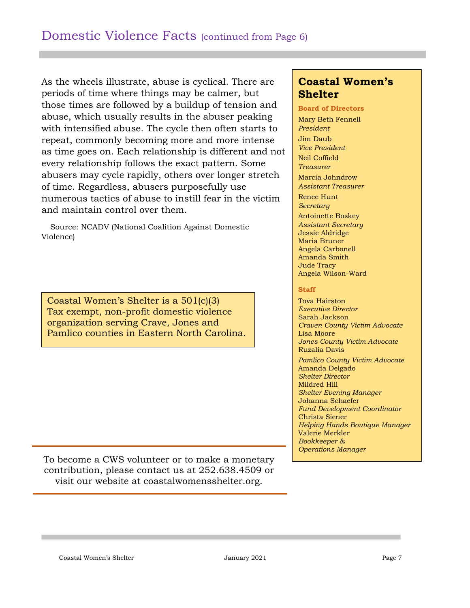As the wheels illustrate, abuse is cyclical. There are periods of time where things may be calmer, but those times are followed by a buildup of tension and abuse, which usually results in the abuser peaking with intensified abuse. The cycle then often starts to repeat, commonly becoming more and more intense as time goes on. Each relationship is different and not every relationship follows the exact pattern. Some abusers may cycle rapidly, others over longer stretch of time. Regardless, abusers purposefully use numerous tactics of abuse to instill fear in the victim and maintain control over them.

 Source: NCADV (National Coalition Against Domestic Violence)

Coastal Women's Shelter is a 501(c)(3) Tax exempt, non-profit domestic violence organization serving Crave, Jones and Pamlico counties in Eastern North Carolina.

### **Coastal Women's Shelter**

#### **Board of Directors**

Mary Beth Fennell *President* Jim Daub *Vice President* Neil Coffield *Treasurer* Marcia Johndrow *Assistant Treasurer* Renee Hunt *Secretary* Antoinette Boskey *Assistant Secretary* Jessie Aldridge Maria Bruner Angela Carbonell Amanda Smith Jude Tracy Angela Wilson-Ward

#### **Staff**

Tova Hairston *Executive Director*  Sarah Jackson *Craven County Victim Advocate*  Lisa Moore *Jones County Victim Advocate*  Ruzalia Davis *Pamlico County Victim Advocate* Amanda Delgado *Shelter Director*  Mildred Hill *Shelter Evening Manager*  Johanna Schaefer *Fund Development Coordinator*  Christa Siener *Helping Hands Boutique Manager*  Valerie Merkler *Bookkeeper & Operations Manager*

To become a CWS volunteer or to make a monetary contribution, please contact us at 252.638.4509 or visit our website at coastalwomensshelter.org.